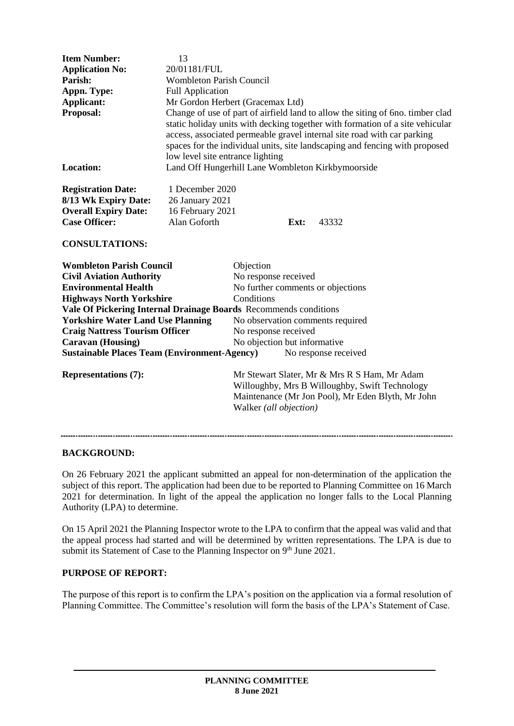| <b>Item Number:</b><br><b>Application No:</b><br>Parish:<br>Appn. Type:<br>Applicant:<br>Proposal:<br><b>Location:</b>                                                                                                                                                                                                                                                                                          | 13<br>20/01181/FUL<br><b>Wombleton Parish Council</b><br><b>Full Application</b><br>Mr Gordon Herbert (Gracemax Ltd)<br>Change of use of part of airfield land to allow the siting of 6no. timber clad<br>static holiday units with decking together with formation of a site vehicular<br>access, associated permeable gravel internal site road with car parking<br>spaces for the individual units, site landscaping and fencing with proposed<br>low level site entrance lighting<br>Land Off Hungerhill Lane Wombleton Kirkbymoorside |                                                                                                                                                                                                                                                                                                                                                                                           |  |       |
|-----------------------------------------------------------------------------------------------------------------------------------------------------------------------------------------------------------------------------------------------------------------------------------------------------------------------------------------------------------------------------------------------------------------|--------------------------------------------------------------------------------------------------------------------------------------------------------------------------------------------------------------------------------------------------------------------------------------------------------------------------------------------------------------------------------------------------------------------------------------------------------------------------------------------------------------------------------------------|-------------------------------------------------------------------------------------------------------------------------------------------------------------------------------------------------------------------------------------------------------------------------------------------------------------------------------------------------------------------------------------------|--|-------|
| <b>Registration Date:</b><br>8/13 Wk Expiry Date:<br><b>Overall Expiry Date:</b><br><b>Case Officer:</b><br><b>CONSULTATIONS:</b>                                                                                                                                                                                                                                                                               | 1 December 2020<br>26 January 2021<br>16 February 2021<br>Alan Goforth                                                                                                                                                                                                                                                                                                                                                                                                                                                                     | Ext:                                                                                                                                                                                                                                                                                                                                                                                      |  | 43332 |
| <b>Wombleton Parish Council</b><br><b>Civil Aviation Authority</b><br><b>Environmental Health</b><br><b>Highways North Yorkshire</b><br>Vale Of Pickering Internal Drainage Boards Recommends conditions<br><b>Yorkshire Water Land Use Planning</b><br><b>Craig Nattress Tourism Officer</b><br><b>Caravan</b> (Housing)<br><b>Sustainable Places Team (Environment-Agency)</b><br><b>Representations (7):</b> |                                                                                                                                                                                                                                                                                                                                                                                                                                                                                                                                            | Objection<br>No response received<br>No further comments or objections<br>Conditions<br>No observation comments required<br>No response received<br>No objection but informative<br>No response received<br>Mr Stewart Slater, Mr & Mrs R S Ham, Mr Adam<br>Willoughby, Mrs B Willoughby, Swift Technology<br>Maintenance (Mr Jon Pool), Mr Eden Blyth, Mr John<br>Walker (all objection) |  |       |

### **BACKGROUND:**

On 26 February 2021 the applicant submitted an appeal for non-determination of the application the subject of this report. The application had been due to be reported to Planning Committee on 16 March 2021 for determination. In light of the appeal the application no longer falls to the Local Planning Authority (LPA) to determine.

On 15 April 2021 the Planning Inspector wrote to the LPA to confirm that the appeal was valid and that the appeal process had started and will be determined by written representations. The LPA is due to submit its Statement of Case to the Planning Inspector on 9<sup>th</sup> June 2021.

#### **PURPOSE OF REPORT:**

The purpose of this report is to confirm the LPA's position on the application via a formal resolution of Planning Committee. The Committee's resolution will form the basis of the LPA's Statement of Case.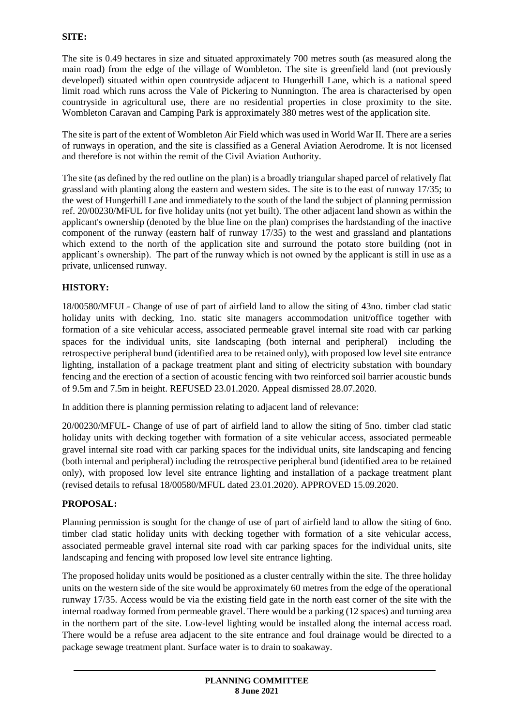## **SITE:**

The site is 0.49 hectares in size and situated approximately 700 metres south (as measured along the main road) from the edge of the village of Wombleton. The site is greenfield land (not previously developed) situated within open countryside adjacent to Hungerhill Lane, which is a national speed limit road which runs across the Vale of Pickering to Nunnington. The area is characterised by open countryside in agricultural use, there are no residential properties in close proximity to the site. Wombleton Caravan and Camping Park is approximately 380 metres west of the application site.

The site is part of the extent of Wombleton Air Field which was used in World War II. There are a series of runways in operation, and the site is classified as a General Aviation Aerodrome. It is not licensed and therefore is not within the remit of the Civil Aviation Authority.

The site (as defined by the red outline on the plan) is a broadly triangular shaped parcel of relatively flat grassland with planting along the eastern and western sides. The site is to the east of runway 17/35; to the west of Hungerhill Lane and immediately to the south of the land the subject of planning permission ref. 20/00230/MFUL for five holiday units (not yet built). The other adjacent land shown as within the applicant's ownership (denoted by the blue line on the plan) comprises the hardstanding of the inactive component of the runway (eastern half of runway 17/35) to the west and grassland and plantations which extend to the north of the application site and surround the potato store building (not in applicant's ownership). The part of the runway which is not owned by the applicant is still in use as a private, unlicensed runway.

# **HISTORY:**

18/00580/MFUL- Change of use of part of airfield land to allow the siting of 43no. timber clad static holiday units with decking, 1no. static site managers accommodation unit/office together with formation of a site vehicular access, associated permeable gravel internal site road with car parking spaces for the individual units, site landscaping (both internal and peripheral) including the retrospective peripheral bund (identified area to be retained only), with proposed low level site entrance lighting, installation of a package treatment plant and siting of electricity substation with boundary fencing and the erection of a section of acoustic fencing with two reinforced soil barrier acoustic bunds of 9.5m and 7.5m in height. REFUSED 23.01.2020. Appeal dismissed 28.07.2020.

In addition there is planning permission relating to adjacent land of relevance:

20/00230/MFUL- Change of use of part of airfield land to allow the siting of 5no. timber clad static holiday units with decking together with formation of a site vehicular access, associated permeable gravel internal site road with car parking spaces for the individual units, site landscaping and fencing (both internal and peripheral) including the retrospective peripheral bund (identified area to be retained only), with proposed low level site entrance lighting and installation of a package treatment plant (revised details to refusal 18/00580/MFUL dated 23.01.2020). APPROVED 15.09.2020.

### **PROPOSAL:**

Planning permission is sought for the change of use of part of airfield land to allow the siting of 6no. timber clad static holiday units with decking together with formation of a site vehicular access, associated permeable gravel internal site road with car parking spaces for the individual units, site landscaping and fencing with proposed low level site entrance lighting.

The proposed holiday units would be positioned as a cluster centrally within the site. The three holiday units on the western side of the site would be approximately 60 metres from the edge of the operational runway 17/35. Access would be via the existing field gate in the north east corner of the site with the internal roadway formed from permeable gravel. There would be a parking (12 spaces) and turning area in the northern part of the site. Low-level lighting would be installed along the internal access road. There would be a refuse area adjacent to the site entrance and foul drainage would be directed to a package sewage treatment plant. Surface water is to drain to soakaway.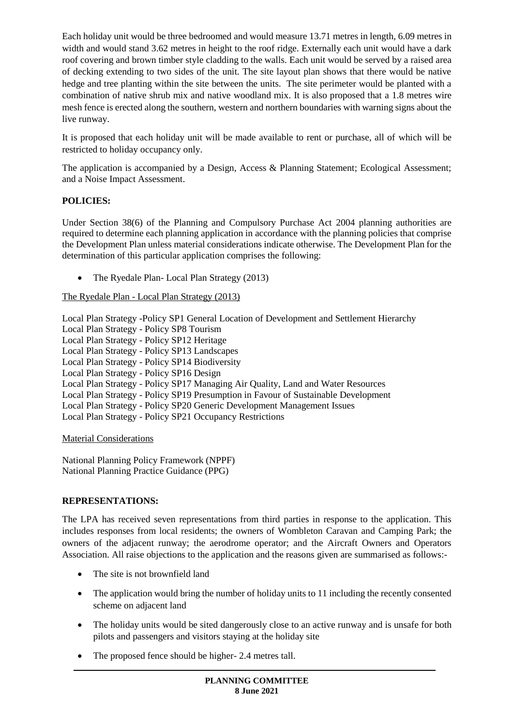Each holiday unit would be three bedroomed and would measure 13.71 metres in length, 6.09 metres in width and would stand 3.62 metres in height to the roof ridge. Externally each unit would have a dark roof covering and brown timber style cladding to the walls. Each unit would be served by a raised area of decking extending to two sides of the unit. The site layout plan shows that there would be native hedge and tree planting within the site between the units. The site perimeter would be planted with a combination of native shrub mix and native woodland mix. It is also proposed that a 1.8 metres wire mesh fence is erected along the southern, western and northern boundaries with warning signs about the live runway.

It is proposed that each holiday unit will be made available to rent or purchase, all of which will be restricted to holiday occupancy only.

The application is accompanied by a Design, Access & Planning Statement; Ecological Assessment; and a Noise Impact Assessment.

# **POLICIES:**

Under Section 38(6) of the Planning and Compulsory Purchase Act 2004 planning authorities are required to determine each planning application in accordance with the planning policies that comprise the Development Plan unless material considerations indicate otherwise. The Development Plan for the determination of this particular application comprises the following:

• The Ryedale Plan- Local Plan Strategy (2013)

# The Ryedale Plan - Local Plan Strategy (2013)

Local Plan Strategy -Policy SP1 General Location of Development and Settlement Hierarchy Local Plan Strategy - Policy SP8 Tourism Local Plan Strategy - Policy SP12 Heritage Local Plan Strategy - Policy SP13 Landscapes Local Plan Strategy - Policy SP14 Biodiversity Local Plan Strategy - Policy SP16 Design Local Plan Strategy - Policy SP17 Managing Air Quality, Land and Water Resources Local Plan Strategy - Policy SP19 Presumption in Favour of Sustainable Development Local Plan Strategy - Policy SP20 Generic Development Management Issues Local Plan Strategy - Policy SP21 Occupancy Restrictions

### Material Considerations

National Planning Policy Framework (NPPF) National Planning Practice Guidance (PPG)

### **REPRESENTATIONS:**

The LPA has received seven representations from third parties in response to the application. This includes responses from local residents; the owners of Wombleton Caravan and Camping Park; the owners of the adjacent runway; the aerodrome operator; and the Aircraft Owners and Operators Association. All raise objections to the application and the reasons given are summarised as follows:-

- The site is not brownfield land
- The application would bring the number of holiday units to 11 including the recently consented scheme on adjacent land
- The holiday units would be sited dangerously close to an active runway and is unsafe for both pilots and passengers and visitors staying at the holiday site
- The proposed fence should be higher- 2.4 metres tall.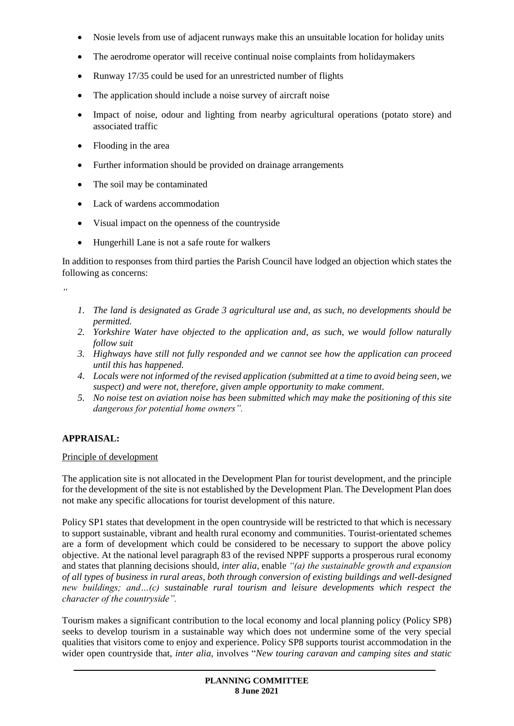- Nosie levels from use of adjacent runways make this an unsuitable location for holiday units
- The aerodrome operator will receive continual noise complaints from holidaymakers
- Runway 17/35 could be used for an unrestricted number of flights
- The application should include a noise survey of aircraft noise
- Impact of noise, odour and lighting from nearby agricultural operations (potato store) and associated traffic
- Flooding in the area
- Further information should be provided on drainage arrangements
- The soil may be contaminated
- Lack of wardens accommodation
- Visual impact on the openness of the countryside
- Hungerhill Lane is not a safe route for walkers

In addition to responses from third parties the Parish Council have lodged an objection which states the following as concerns:

*"*

- *1. The land is designated as Grade 3 agricultural use and, as such, no developments should be permitted.*
- *2. Yorkshire Water have objected to the application and, as such, we would follow naturally follow suit*
- *3. Highways have still not fully responded and we cannot see how the application can proceed until this has happened.*
- *4. Locals were not informed of the revised application (submitted at a time to avoid being seen, we suspect) and were not, therefore, given ample opportunity to make comment.*
- *5. No noise test on aviation noise has been submitted which may make the positioning of this site dangerous for potential home owners".*

# **APPRAISAL:**

### Principle of development

The application site is not allocated in the Development Plan for tourist development, and the principle for the development of the site is not established by the Development Plan. The Development Plan does not make any specific allocations for tourist development of this nature.

Policy SP1 states that development in the open countryside will be restricted to that which is necessary to support sustainable, vibrant and health rural economy and communities. Tourist-orientated schemes are a form of development which could be considered to be necessary to support the above policy objective. At the national level paragraph 83 of the revised NPPF supports a prosperous rural economy and states that planning decisions should, *inter alia*, enable *"(a) the sustainable growth and expansion of all types of business in rural areas, both through conversion of existing buildings and well-designed new buildings; and…(c) sustainable rural tourism and leisure developments which respect the character of the countryside".*

Tourism makes a significant contribution to the local economy and local planning policy (Policy SP8) seeks to develop tourism in a sustainable way which does not undermine some of the very special qualities that visitors come to enjoy and experience. Policy SP8 supports tourist accommodation in the wider open countryside that, *inter alia*, involves "*New touring caravan and camping sites and static*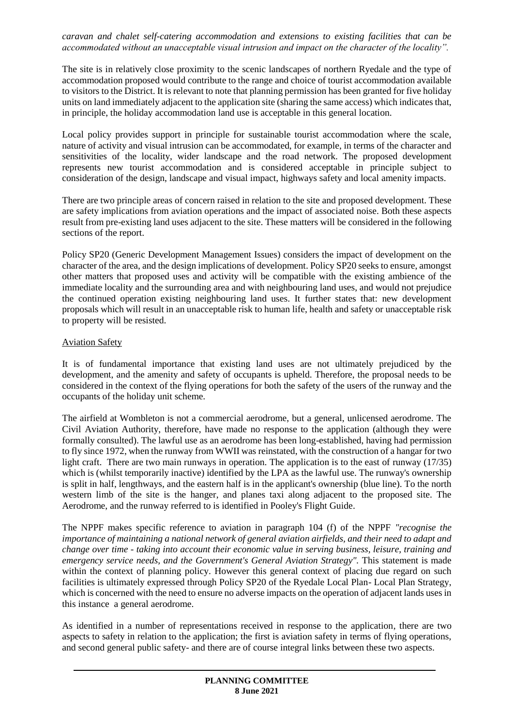*caravan and chalet self-catering accommodation and extensions to existing facilities that can be accommodated without an unacceptable visual intrusion and impact on the character of the locality".*

The site is in relatively close proximity to the scenic landscapes of northern Ryedale and the type of accommodation proposed would contribute to the range and choice of tourist accommodation available to visitors to the District. It is relevant to note that planning permission has been granted for five holiday units on land immediately adjacent to the application site (sharing the same access) which indicates that, in principle, the holiday accommodation land use is acceptable in this general location.

Local policy provides support in principle for sustainable tourist accommodation where the scale, nature of activity and visual intrusion can be accommodated, for example, in terms of the character and sensitivities of the locality, wider landscape and the road network. The proposed development represents new tourist accommodation and is considered acceptable in principle subject to consideration of the design, landscape and visual impact, highways safety and local amenity impacts.

There are two principle areas of concern raised in relation to the site and proposed development. These are safety implications from aviation operations and the impact of associated noise. Both these aspects result from pre-existing land uses adjacent to the site. These matters will be considered in the following sections of the report.

Policy SP20 (Generic Development Management Issues) considers the impact of development on the character of the area, and the design implications of development. Policy SP20 seeks to ensure, amongst other matters that proposed uses and activity will be compatible with the existing ambience of the immediate locality and the surrounding area and with neighbouring land uses, and would not prejudice the continued operation existing neighbouring land uses. It further states that: new development proposals which will result in an unacceptable risk to human life, health and safety or unacceptable risk to property will be resisted.

#### Aviation Safety

It is of fundamental importance that existing land uses are not ultimately prejudiced by the development, and the amenity and safety of occupants is upheld. Therefore, the proposal needs to be considered in the context of the flying operations for both the safety of the users of the runway and the occupants of the holiday unit scheme.

The airfield at Wombleton is not a commercial aerodrome, but a general, unlicensed aerodrome. The Civil Aviation Authority, therefore, have made no response to the application (although they were formally consulted). The lawful use as an aerodrome has been long-established, having had permission to fly since 1972, when the runway from WWII was reinstated, with the construction of a hangar for two light craft. There are two main runways in operation. The application is to the east of runway (17/35) which is (whilst temporarily inactive) identified by the LPA as the lawful use. The runway's ownership is split in half, lengthways, and the eastern half is in the applicant's ownership (blue line). To the north western limb of the site is the hanger, and planes taxi along adjacent to the proposed site. The Aerodrome, and the runway referred to is identified in Pooley's Flight Guide.

The NPPF makes specific reference to aviation in paragraph 104 (f) of the NPPF *"recognise the importance of maintaining a national network of general aviation airfields, and their need to adapt and change over time - taking into account their economic value in serving business, leisure, training and emergency service needs, and the Government's General Aviation Strategy".* This statement is made within the context of planning policy. However this general context of placing due regard on such facilities is ultimately expressed through Policy SP20 of the Ryedale Local Plan- Local Plan Strategy, which is concerned with the need to ensure no adverse impacts on the operation of adjacent lands uses in this instance a general aerodrome.

As identified in a number of representations received in response to the application, there are two aspects to safety in relation to the application; the first is aviation safety in terms of flying operations, and second general public safety- and there are of course integral links between these two aspects.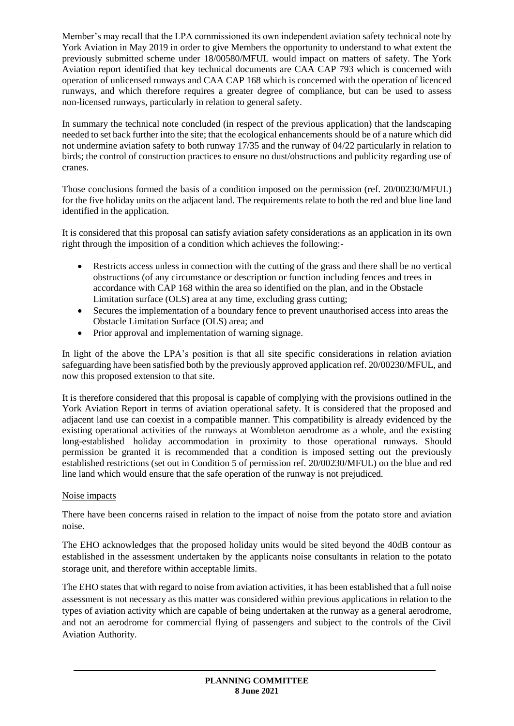Member's may recall that the LPA commissioned its own independent aviation safety technical note by York Aviation in May 2019 in order to give Members the opportunity to understand to what extent the previously submitted scheme under 18/00580/MFUL would impact on matters of safety. The York Aviation report identified that key technical documents are CAA CAP 793 which is concerned with operation of unlicensed runways and CAA CAP 168 which is concerned with the operation of licenced runways, and which therefore requires a greater degree of compliance, but can be used to assess non-licensed runways, particularly in relation to general safety.

In summary the technical note concluded (in respect of the previous application) that the landscaping needed to set back further into the site; that the ecological enhancements should be of a nature which did not undermine aviation safety to both runway 17/35 and the runway of 04/22 particularly in relation to birds; the control of construction practices to ensure no dust/obstructions and publicity regarding use of cranes.

Those conclusions formed the basis of a condition imposed on the permission (ref. 20/00230/MFUL) for the five holiday units on the adjacent land. The requirements relate to both the red and blue line land identified in the application.

It is considered that this proposal can satisfy aviation safety considerations as an application in its own right through the imposition of a condition which achieves the following:-

- Restricts access unless in connection with the cutting of the grass and there shall be no vertical obstructions (of any circumstance or description or function including fences and trees in accordance with CAP 168 within the area so identified on the plan, and in the Obstacle Limitation surface (OLS) area at any time, excluding grass cutting;
- Secures the implementation of a boundary fence to prevent unauthorised access into areas the Obstacle Limitation Surface (OLS) area; and
- Prior approval and implementation of warning signage.

In light of the above the LPA's position is that all site specific considerations in relation aviation safeguarding have been satisfied both by the previously approved application ref. 20/00230/MFUL, and now this proposed extension to that site.

It is therefore considered that this proposal is capable of complying with the provisions outlined in the York Aviation Report in terms of aviation operational safety. It is considered that the proposed and adjacent land use can coexist in a compatible manner. This compatibility is already evidenced by the existing operational activities of the runways at Wombleton aerodrome as a whole, and the existing long-established holiday accommodation in proximity to those operational runways. Should permission be granted it is recommended that a condition is imposed setting out the previously established restrictions (set out in Condition 5 of permission ref. 20/00230/MFUL) on the blue and red line land which would ensure that the safe operation of the runway is not prejudiced.

### Noise impacts

There have been concerns raised in relation to the impact of noise from the potato store and aviation noise.

The EHO acknowledges that the proposed holiday units would be sited beyond the 40dB contour as established in the assessment undertaken by the applicants noise consultants in relation to the potato storage unit, and therefore within acceptable limits.

The EHO states that with regard to noise from aviation activities, it has been established that a full noise assessment is not necessary as this matter was considered within previous applications in relation to the types of aviation activity which are capable of being undertaken at the runway as a general aerodrome, and not an aerodrome for commercial flying of passengers and subject to the controls of the Civil Aviation Authority.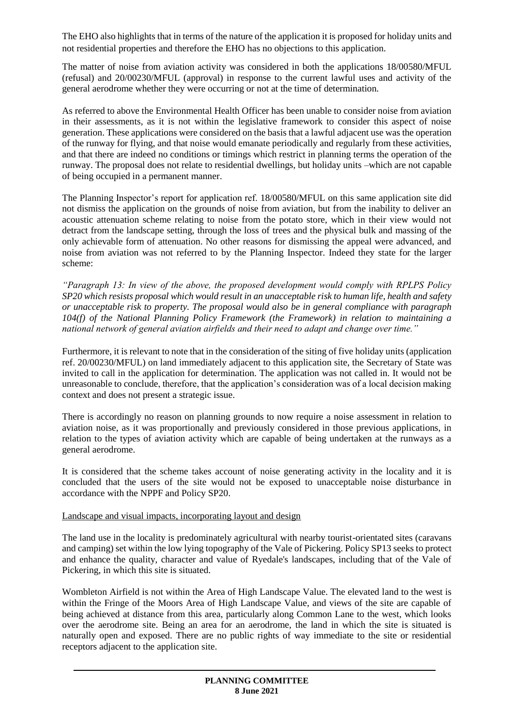The EHO also highlights that in terms of the nature of the application it is proposed for holiday units and not residential properties and therefore the EHO has no objections to this application.

The matter of noise from aviation activity was considered in both the applications 18/00580/MFUL (refusal) and 20/00230/MFUL (approval) in response to the current lawful uses and activity of the general aerodrome whether they were occurring or not at the time of determination.

As referred to above the Environmental Health Officer has been unable to consider noise from aviation in their assessments, as it is not within the legislative framework to consider this aspect of noise generation. These applications were considered on the basis that a lawful adjacent use was the operation of the runway for flying, and that noise would emanate periodically and regularly from these activities, and that there are indeed no conditions or timings which restrict in planning terms the operation of the runway. The proposal does not relate to residential dwellings, but holiday units –which are not capable of being occupied in a permanent manner.

The Planning Inspector's report for application ref. 18/00580/MFUL on this same application site did not dismiss the application on the grounds of noise from aviation, but from the inability to deliver an acoustic attenuation scheme relating to noise from the potato store, which in their view would not detract from the landscape setting, through the loss of trees and the physical bulk and massing of the only achievable form of attenuation. No other reasons for dismissing the appeal were advanced, and noise from aviation was not referred to by the Planning Inspector. Indeed they state for the larger scheme:

*"Paragraph 13: In view of the above, the proposed development would comply with RPLPS Policy SP20 which resists proposal which would result in an unacceptable risk to human life, health and safety or unacceptable risk to property. The proposal would also be in general compliance with paragraph 104(f) of the National Planning Policy Framework (the Framework) in relation to maintaining a national network of general aviation airfields and their need to adapt and change over time."*

Furthermore, it is relevant to note that in the consideration of the siting of five holiday units (application ref. 20/00230/MFUL) on land immediately adjacent to this application site, the Secretary of State was invited to call in the application for determination. The application was not called in. It would not be unreasonable to conclude, therefore, that the application's consideration was of a local decision making context and does not present a strategic issue.

There is accordingly no reason on planning grounds to now require a noise assessment in relation to aviation noise, as it was proportionally and previously considered in those previous applications, in relation to the types of aviation activity which are capable of being undertaken at the runways as a general aerodrome.

It is considered that the scheme takes account of noise generating activity in the locality and it is concluded that the users of the site would not be exposed to unacceptable noise disturbance in accordance with the NPPF and Policy SP20.

### Landscape and visual impacts, incorporating layout and design

The land use in the locality is predominately agricultural with nearby tourist-orientated sites (caravans and camping) set within the low lying topography of the Vale of Pickering. Policy SP13 seeks to protect and enhance the quality, character and value of Ryedale's landscapes, including that of the Vale of Pickering, in which this site is situated.

Wombleton Airfield is not within the Area of High Landscape Value. The elevated land to the west is within the Fringe of the Moors Area of High Landscape Value, and views of the site are capable of being achieved at distance from this area, particularly along Common Lane to the west, which looks over the aerodrome site. Being an area for an aerodrome, the land in which the site is situated is naturally open and exposed. There are no public rights of way immediate to the site or residential receptors adjacent to the application site.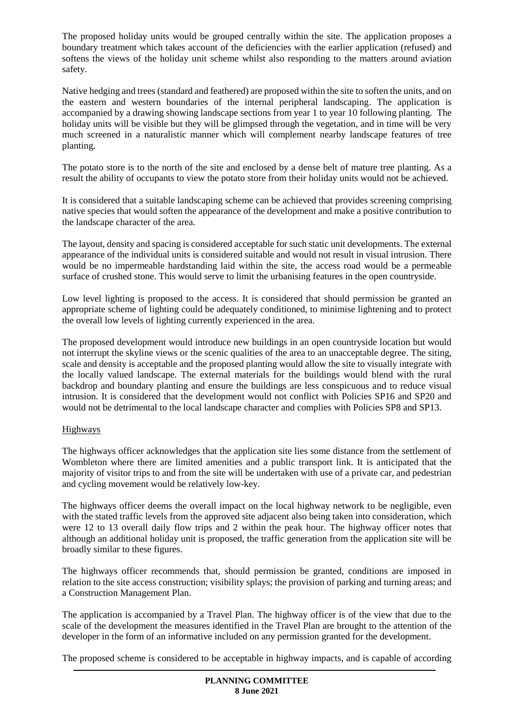The proposed holiday units would be grouped centrally within the site. The application proposes a boundary treatment which takes account of the deficiencies with the earlier application (refused) and softens the views of the holiday unit scheme whilst also responding to the matters around aviation safety.

Native hedging and trees (standard and feathered) are proposed within the site to soften the units, and on the eastern and western boundaries of the internal peripheral landscaping. The application is accompanied by a drawing showing landscape sections from year 1 to year 10 following planting. The holiday units will be visible but they will be glimpsed through the vegetation, and in time will be very much screened in a naturalistic manner which will complement nearby landscape features of tree planting.

The potato store is to the north of the site and enclosed by a dense belt of mature tree planting. As a result the ability of occupants to view the potato store from their holiday units would not be achieved.

It is considered that a suitable landscaping scheme can be achieved that provides screening comprising native species that would soften the appearance of the development and make a positive contribution to the landscape character of the area.

The layout, density and spacing is considered acceptable for such static unit developments. The external appearance of the individual units is considered suitable and would not result in visual intrusion. There would be no impermeable hardstanding laid within the site, the access road would be a permeable surface of crushed stone. This would serve to limit the urbanising features in the open countryside.

Low level lighting is proposed to the access. It is considered that should permission be granted an appropriate scheme of lighting could be adequately conditioned, to minimise lightening and to protect the overall low levels of lighting currently experienced in the area.

The proposed development would introduce new buildings in an open countryside location but would not interrupt the skyline views or the scenic qualities of the area to an unacceptable degree. The siting, scale and density is acceptable and the proposed planting would allow the site to visually integrate with the locally valued landscape. The external materials for the buildings would blend with the rural backdrop and boundary planting and ensure the buildings are less conspicuous and to reduce visual intrusion. It is considered that the development would not conflict with Policies SP16 and SP20 and would not be detrimental to the local landscape character and complies with Policies SP8 and SP13.

### **Highways**

The highways officer acknowledges that the application site lies some distance from the settlement of Wombleton where there are limited amenities and a public transport link. It is anticipated that the majority of visitor trips to and from the site will be undertaken with use of a private car, and pedestrian and cycling movement would be relatively low-key.

The highways officer deems the overall impact on the local highway network to be negligible, even with the stated traffic levels from the approved site adjacent also being taken into consideration, which were 12 to 13 overall daily flow trips and 2 within the peak hour. The highway officer notes that although an additional holiday unit is proposed, the traffic generation from the application site will be broadly similar to these figures.

The highways officer recommends that, should permission be granted, conditions are imposed in relation to the site access construction; visibility splays; the provision of parking and turning areas; and a Construction Management Plan.

The application is accompanied by a Travel Plan. The highway officer is of the view that due to the scale of the development the measures identified in the Travel Plan are brought to the attention of the developer in the form of an informative included on any permission granted for the development.

The proposed scheme is considered to be acceptable in highway impacts, and is capable of according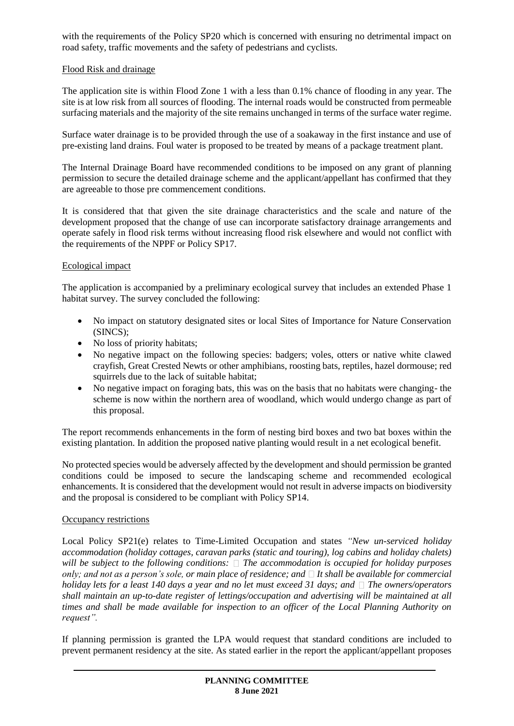with the requirements of the Policy SP20 which is concerned with ensuring no detrimental impact on road safety, traffic movements and the safety of pedestrians and cyclists.

#### Flood Risk and drainage

The application site is within Flood Zone 1 with a less than 0.1% chance of flooding in any year. The site is at low risk from all sources of flooding. The internal roads would be constructed from permeable surfacing materials and the majority of the site remains unchanged in terms of the surface water regime.

Surface water drainage is to be provided through the use of a soakaway in the first instance and use of pre-existing land drains. Foul water is proposed to be treated by means of a package treatment plant.

The Internal Drainage Board have recommended conditions to be imposed on any grant of planning permission to secure the detailed drainage scheme and the applicant/appellant has confirmed that they are agreeable to those pre commencement conditions.

It is considered that that given the site drainage characteristics and the scale and nature of the development proposed that the change of use can incorporate satisfactory drainage arrangements and operate safely in flood risk terms without increasing flood risk elsewhere and would not conflict with the requirements of the NPPF or Policy SP17.

#### Ecological impact

The application is accompanied by a preliminary ecological survey that includes an extended Phase 1 habitat survey. The survey concluded the following:

- No impact on statutory designated sites or local Sites of Importance for Nature Conservation (SINCS);
- No loss of priority habitats;
- No negative impact on the following species: badgers; voles, otters or native white clawed crayfish, Great Crested Newts or other amphibians, roosting bats, reptiles, hazel dormouse; red squirrels due to the lack of suitable habitat;
- No negative impact on foraging bats, this was on the basis that no habitats were changing- the scheme is now within the northern area of woodland, which would undergo change as part of this proposal.

The report recommends enhancements in the form of nesting bird boxes and two bat boxes within the existing plantation. In addition the proposed native planting would result in a net ecological benefit.

No protected species would be adversely affected by the development and should permission be granted conditions could be imposed to secure the landscaping scheme and recommended ecological enhancements. It is considered that the development would not result in adverse impacts on biodiversity and the proposal is considered to be compliant with Policy SP14.

#### Occupancy restrictions

Local Policy SP21(e) relates to Time-Limited Occupation and states *"New un-serviced holiday accommodation (holiday cottages, caravan parks (static and touring), log cabins and holiday chalets) will be subject to the following conditions:*  $\Box$  *The accommodation is occupied for holiday purposes only; and not as a person's sole, or main place of residence; and*  $\Box$  *It shall be available for commercial holiday lets for a least 140 days a year and no let must exceed 31 days; and*  $\Box$  *The owners/operators shall maintain an up-to-date register of lettings/occupation and advertising will be maintained at all times and shall be made available for inspection to an officer of the Local Planning Authority on request".* 

If planning permission is granted the LPA would request that standard conditions are included to prevent permanent residency at the site. As stated earlier in the report the applicant/appellant proposes